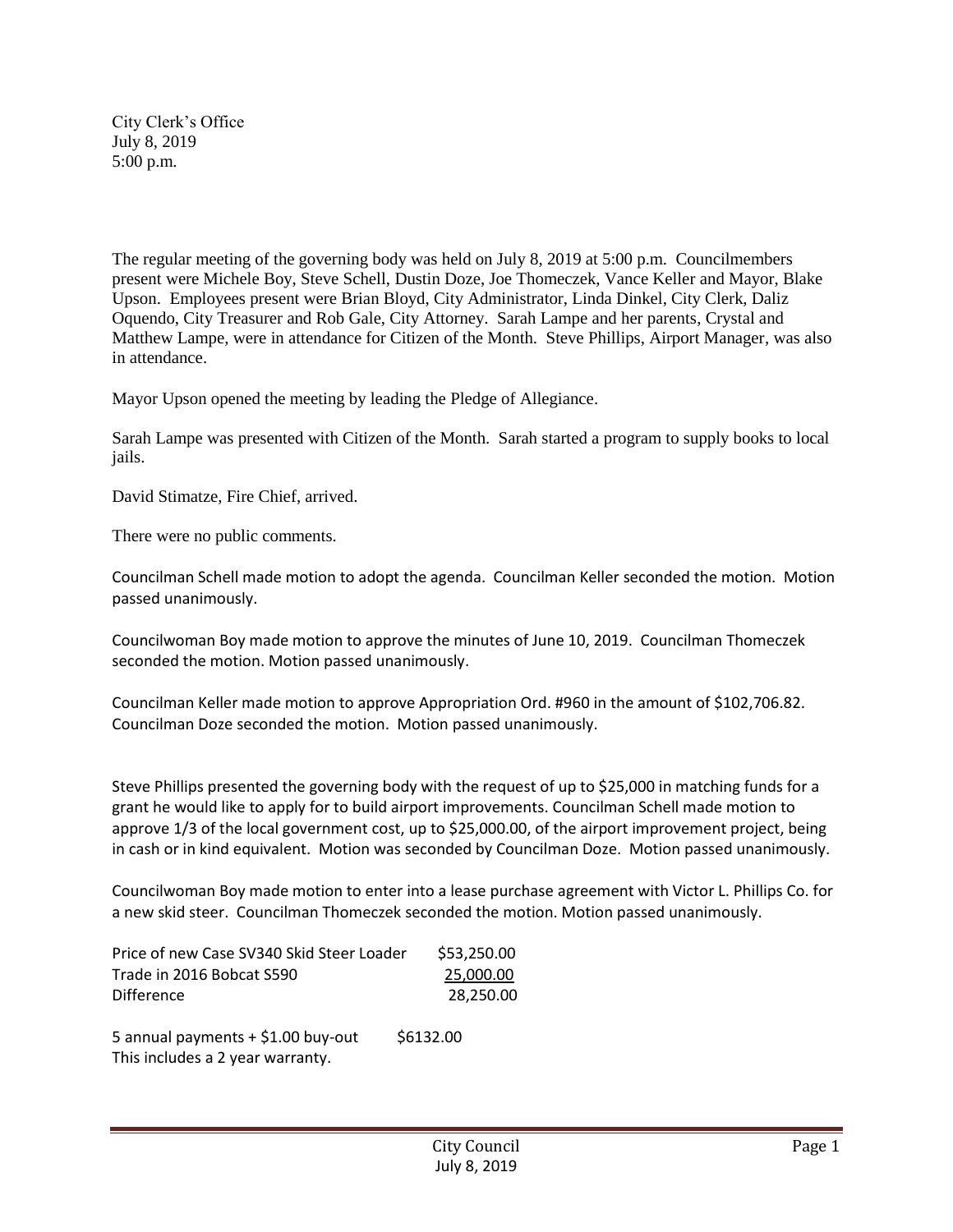City Clerk's Office July 8, 2019 5:00 p.m.

The regular meeting of the governing body was held on July 8, 2019 at 5:00 p.m. Councilmembers present were Michele Boy, Steve Schell, Dustin Doze, Joe Thomeczek, Vance Keller and Mayor, Blake Upson. Employees present were Brian Bloyd, City Administrator, Linda Dinkel, City Clerk, Daliz Oquendo, City Treasurer and Rob Gale, City Attorney. Sarah Lampe and her parents, Crystal and Matthew Lampe, were in attendance for Citizen of the Month. Steve Phillips, Airport Manager, was also in attendance.

Mayor Upson opened the meeting by leading the Pledge of Allegiance.

Sarah Lampe was presented with Citizen of the Month. Sarah started a program to supply books to local jails.

David Stimatze, Fire Chief, arrived.

There were no public comments.

Councilman Schell made motion to adopt the agenda. Councilman Keller seconded the motion. Motion passed unanimously.

Councilwoman Boy made motion to approve the minutes of June 10, 2019. Councilman Thomeczek seconded the motion. Motion passed unanimously.

Councilman Keller made motion to approve Appropriation Ord. #960 in the amount of \$102,706.82. Councilman Doze seconded the motion. Motion passed unanimously.

Steve Phillips presented the governing body with the request of up to \$25,000 in matching funds for a grant he would like to apply for to build airport improvements. Councilman Schell made motion to approve 1/3 of the local government cost, up to \$25,000.00, of the airport improvement project, being in cash or in kind equivalent. Motion was seconded by Councilman Doze. Motion passed unanimously.

Councilwoman Boy made motion to enter into a lease purchase agreement with Victor L. Phillips Co. for a new skid steer. Councilman Thomeczek seconded the motion. Motion passed unanimously.

| Price of new Case SV340 Skid Steer Loader | \$53,250.00 |
|-------------------------------------------|-------------|
| Trade in 2016 Bobcat S590                 | 25,000.00   |
| Difference                                | 28.250.00   |
| 5 annual payments + \$1.00 buy-out        | \$6132.00   |

This includes a 2 year warranty.